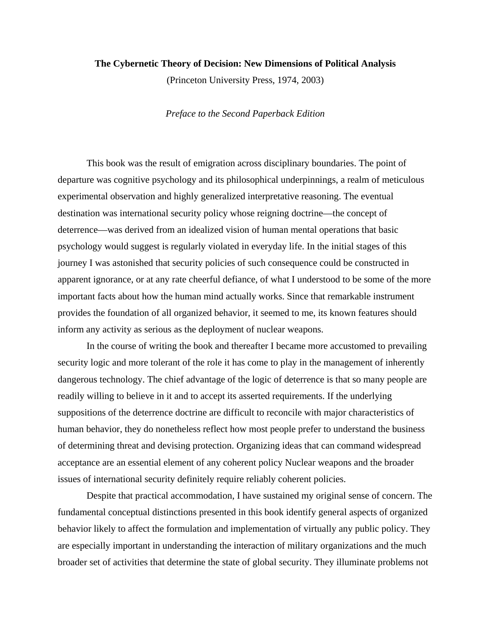### **The Cybernetic Theory of Decision: New Dimensions of Political Analysis**

(Princeton University Press, 1974, 2003)

#### *Preface to the Second Paperback Edition*

 This book was the result of emigration across disciplinary boundaries. The point of departure was cognitive psychology and its philosophical underpinnings, a realm of meticulous experimental observation and highly generalized interpretative reasoning. The eventual destination was international security policy whose reigning doctrine—the concept of deterrence—was derived from an idealized vision of human mental operations that basic psychology would suggest is regularly violated in everyday life. In the initial stages of this journey I was astonished that security policies of such consequence could be constructed in apparent ignorance, or at any rate cheerful defiance, of what I understood to be some of the more important facts about how the human mind actually works. Since that remarkable instrument provides the foundation of all organized behavior, it seemed to me, its known features should inform any activity as serious as the deployment of nuclear weapons.

 In the course of writing the book and thereafter I became more accustomed to prevailing security logic and more tolerant of the role it has come to play in the management of inherently dangerous technology. The chief advantage of the logic of deterrence is that so many people are readily willing to believe in it and to accept its asserted requirements. If the underlying suppositions of the deterrence doctrine are difficult to reconcile with major characteristics of human behavior, they do nonetheless reflect how most people prefer to understand the business of determining threat and devising protection. Organizing ideas that can command widespread acceptance are an essential element of any coherent policy Nuclear weapons and the broader issues of international security definitely require reliably coherent policies.

 Despite that practical accommodation, I have sustained my original sense of concern. The fundamental conceptual distinctions presented in this book identify general aspects of organized behavior likely to affect the formulation and implementation of virtually any public policy. They are especially important in understanding the interaction of military organizations and the much broader set of activities that determine the state of global security. They illuminate problems not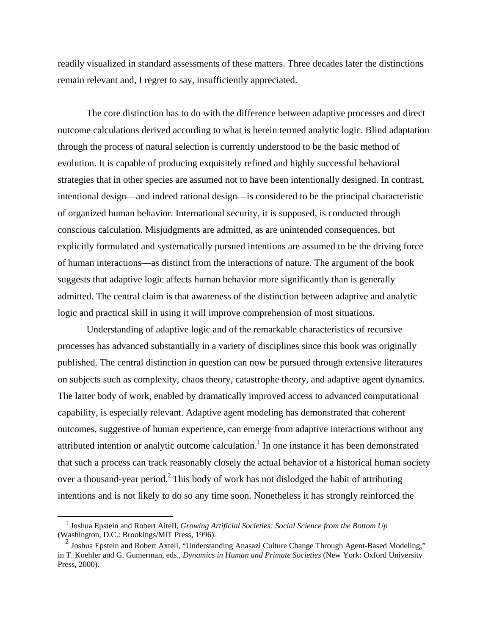readily visualized in standard assessments of these matters. Three decades later the distinctions remain relevant and, I regret to say, insufficiently appreciated.

 The core distinction has to do with the difference between adaptive processes and direct outcome calculations derived according to what is herein termed analytic logic. Blind adaptation through the process of natural selection is currently understood to be the basic method of evolution. It is capable of producing exquisitely refined and highly successful behavioral strategies that in other species are assumed not to have been intentionally designed. In contrast, intentional design—and indeed rational design—is considered to be the principal characteristic of organized human behavior. International security, it is supposed, is conducted through conscious calculation. Misjudgments are admitted, as are unintended consequences, but explicitly formulated and systematically pursued intentions are assumed to be the driving force of human interactions—as distinct from the interactions of nature. The argument of the book suggests that adaptive logic affects human behavior more significantly than is generally admitted. The central claim is that awareness of the distinction between adaptive and analytic logic and practical skill in using it will improve comprehension of most situations.

 Understanding of adaptive logic and of the remarkable characteristics of recursive processes has advanced substantially in a variety of disciplines since this book was originally published. The central distinction in question can now be pursued through extensive literatures on subjects such as complexity, chaos theory, catastrophe theory, and adaptive agent dynamics. The latter body of work, enabled by dramatically improved access to advanced computational capability, is especially relevant. Adaptive agent modeling has demonstrated that coherent outcomes, suggestive of human experience, can emerge from adaptive interactions without any attributed intention or analytic outcome calculation.<sup>[1](#page-1-0)</sup> In one instance it has been demonstrated that such a process can track reasonably closely the actual behavior of a historical human society over a thousand-year period.<sup>2</sup> This body of work has not dislodged the habit of attributing intentions and is not likely to do so any time soon. Nonetheless it has strongly reinforced the

<span id="page-1-0"></span> <sup>1</sup> Joshua Epstein and Robert AiteIl, *Growing Artificial Societies: Social Science from the Bottom Up*  (Washington, D.C.: Brookings/MlT Press, 1996).

<span id="page-1-1"></span><sup>&</sup>lt;sup>2</sup> Joshua Epstein and Robert Axtell, "Understanding Anasazi Culture Change Through Agent-Based Modeling," in T. Koehler and G. Gumerman, eds., *Dynamics in Human and Primate Societies* (New York: Oxford University Press, 2000).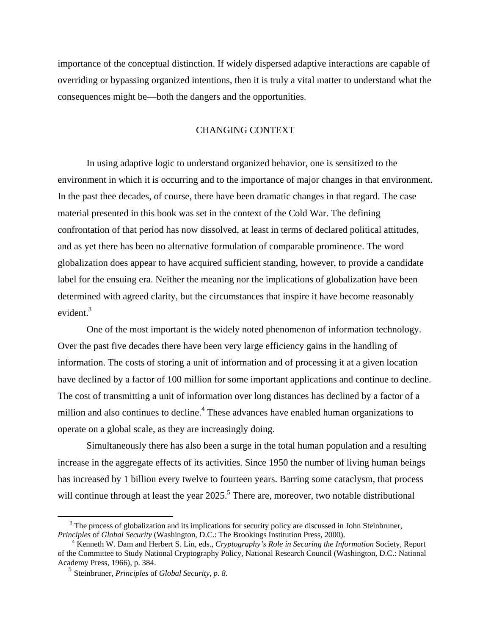importance of the conceptual distinction. If widely dispersed adaptive interactions are capable of overriding or bypassing organized intentions, then it is truly a vital matter to understand what the consequences might be—both the dangers and the opportunities.

## CHANGING CONTEXT

 In using adaptive logic to understand organized behavior, one is sensitized to the environment in which it is occurring and to the importance of major changes in that environment. In the past thee decades, of course, there have been dramatic changes in that regard. The case material presented in this book was set in the context of the Cold War. The defining confrontation of that period has now dissolved, at least in terms of declared political attitudes, and as yet there has been no alternative formulation of comparable prominence. The word globalization does appear to have acquired sufficient standing, however, to provide a candidate label for the ensuing era. Neither the meaning nor the implications of globalization have been determined with agreed clarity, but the circumstances that inspire it have become reasonably evident.<sup>[3](#page-2-0)</sup>

 One of the most important is the widely noted phenomenon of information technology. Over the past five decades there have been very large efficiency gains in the handling of information. The costs of storing a unit of information and of processing it at a given location have declined by a factor of 100 million for some important applications and continue to decline. The cost of transmitting a unit of information over long distances has declined by a factor of a million and also continues to decline.<sup>[4](#page-2-1)</sup> These advances have enabled human organizations to operate on a global scale, as they are increasingly doing.

 Simultaneously there has also been a surge in the total human population and a resulting increase in the aggregate effects of its activities. Since 1950 the number of living human beings has increased by 1 billion every twelve to fourteen years. Barring some cataclysm, that process will continue through at least the year  $2025$  $2025$ .<sup>5</sup> There are, moreover, two notable distributional

1

<span id="page-2-0"></span><sup>&</sup>lt;sup>3</sup> The process of globalization and its implications for security policy are discussed in John Steinbruner, *Principles of Global Security* (Washington, D.C.: The Brookings Institution Press, 2000).

<span id="page-2-1"></span>Kenneth W. Dam and Herbert S. Lin, eds., *Cryptography's Role in Securing the Information* Society, Report of the Committee to Study National Cryptography Policy, National Research Council (Washington, D.C.: National Academy Press, 1966), p. 384.

<span id="page-2-2"></span><sup>5</sup> Steinbruner, *Principles* of *Global Security, p. 8.*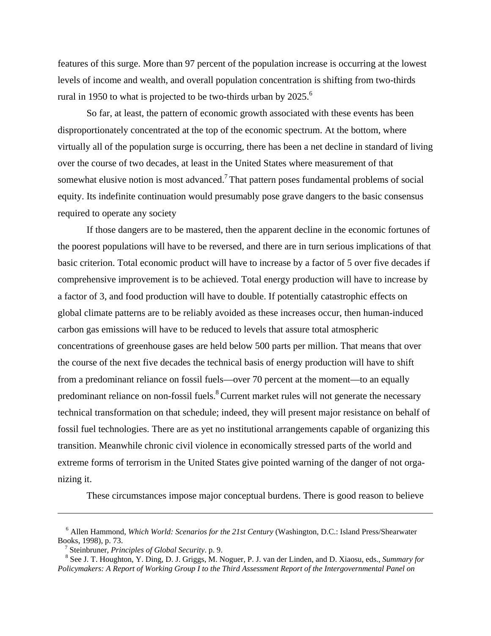features of this surge. More than 97 percent of the population increase is occurring at the lowest levels of income and wealth, and overall population concentration is shifting from two-thirds rural in 1950 to what is projected to be two-thirds urban by  $2025$ .<sup>[6](#page-3-0)</sup>

 So far, at least, the pattern of economic growth associated with these events has been disproportionately concentrated at the top of the economic spectrum. At the bottom, where virtually all of the population surge is occurring, there has been a net decline in standard of living over the course of two decades, at least in the United States where measurement of that somewhat elusive notion is most advanced.<sup>[7](#page-3-1)</sup> That pattern poses fundamental problems of social equity. Its indefinite continuation would presumably pose grave dangers to the basic consensus required to operate any society

 If those dangers are to be mastered, then the apparent decline in the economic fortunes of the poorest populations will have to be reversed, and there are in turn serious implications of that basic criterion. Total economic product will have to increase by a factor of 5 over five decades if comprehensive improvement is to be achieved. Total energy production will have to increase by a factor of 3, and food production will have to double. If potentially catastrophic effects on global climate patterns are to be reliably avoided as these increases occur, then human-induced carbon gas emissions will have to be reduced to levels that assure total atmospheric concentrations of greenhouse gases are held below 500 parts per million. That means that over the course of the next five decades the technical basis of energy production will have to shift from a predominant reliance on fossil fuels—over 70 percent at the moment—to an equally predominant reliance on non-fossil fuels.<sup>8</sup> Current market rules will not generate the necessary technical transformation on that schedule; indeed, they will present major resistance on behalf of fossil fuel technologies. There are as yet no institutional arrangements capable of organizing this transition. Meanwhile chronic civil violence in economically stressed parts of the world and extreme forms of terrorism in the United States give pointed warning of the danger of not organizing it.

These circumstances impose major conceptual burdens. There is good reason to believe

 $\overline{a}$ 

<span id="page-3-0"></span><sup>6</sup> Allen Hammond, *Which World: Scenarios for the 21st Century* (Washington, D.C.: Island Press/Shearwater Books, 1998), p. 73.

<span id="page-3-1"></span><sup>&</sup>lt;sup>7</sup> Steinbruner, *Principles of Global Security*. p. 9.

<span id="page-3-2"></span>See J. T. Houghton, Y. Ding, D. J. Griggs, M. Noguer, P. J. van der Linden, and D. Xiaosu, eds., *Summary for Policymakers: A Report of Working Group I to the Third Assessment Report of the Intergovernmental Panel on*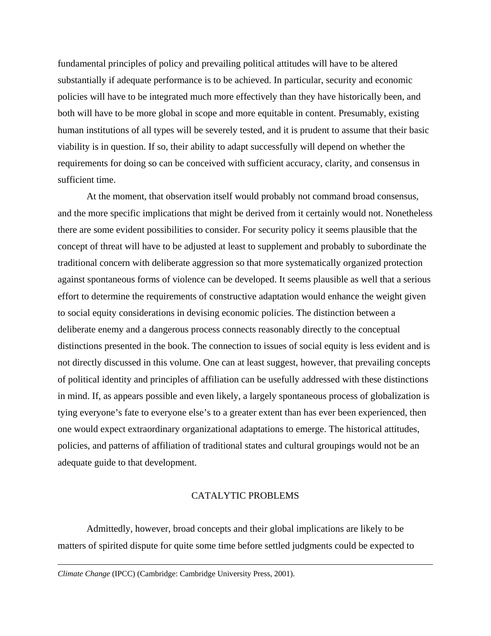fundamental principles of policy and prevailing political attitudes will have to be altered substantially if adequate performance is to be achieved. In particular, security and economic policies will have to be integrated much more effectively than they have historically been, and both will have to be more global in scope and more equitable in content. Presumably, existing human institutions of all types will be severely tested, and it is prudent to assume that their basic viability is in question. If so, their ability to adapt successfully will depend on whether the requirements for doing so can be conceived with sufficient accuracy, clarity, and consensus in sufficient time.

 At the moment, that observation itself would probably not command broad consensus, and the more specific implications that might be derived from it certainly would not. Nonetheless there are some evident possibilities to consider. For security policy it seems plausible that the concept of threat will have to be adjusted at least to supplement and probably to subordinate the traditional concern with deliberate aggression so that more systematically organized protection against spontaneous forms of violence can be developed. It seems plausible as well that a serious effort to determine the requirements of constructive adaptation would enhance the weight given to social equity considerations in devising economic policies. The distinction between a deliberate enemy and a dangerous process connects reasonably directly to the conceptual distinctions presented in the book. The connection to issues of social equity is less evident and is not directly discussed in this volume. One can at least suggest, however, that prevailing concepts of political identity and principles of affiliation can be usefully addressed with these distinctions in mind. If, as appears possible and even likely, a largely spontaneous process of globalization is tying everyone's fate to everyone else's to a greater extent than has ever been experienced, then one would expect extraordinary organizational adaptations to emerge. The historical attitudes, policies, and patterns of affiliation of traditional states and cultural groupings would not be an adequate guide to that development.

# CATALYTIC PROBLEMS

 Admittedly, however, broad concepts and their global implications are likely to be matters of spirited dispute for quite some time before settled judgments could be expected to

 $\overline{a}$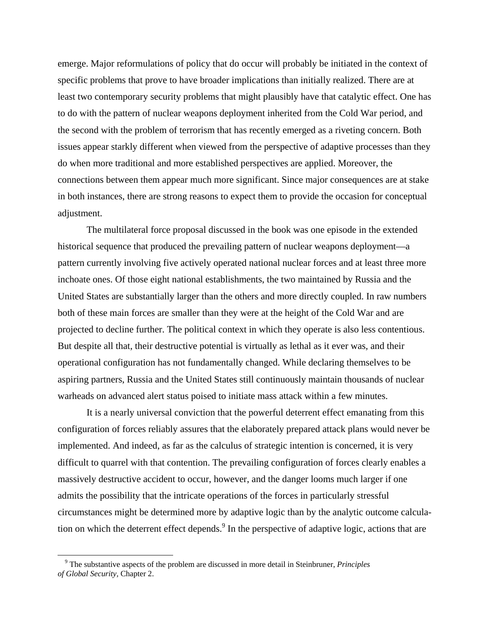emerge. Major reformulations of policy that do occur will probably be initiated in the context of specific problems that prove to have broader implications than initially realized. There are at least two contemporary security problems that might plausibly have that catalytic effect. One has to do with the pattern of nuclear weapons deployment inherited from the Cold War period, and the second with the problem of terrorism that has recently emerged as a riveting concern. Both issues appear starkly different when viewed from the perspective of adaptive processes than they do when more traditional and more established perspectives are applied. Moreover, the connections between them appear much more significant. Since major consequences are at stake in both instances, there are strong reasons to expect them to provide the occasion for conceptual adjustment.

 The multilateral force proposal discussed in the book was one episode in the extended historical sequence that produced the prevailing pattern of nuclear weapons deployment—a pattern currently involving five actively operated national nuclear forces and at least three more inchoate ones. Of those eight national establishments, the two maintained by Russia and the United States are substantially larger than the others and more directly coupled. In raw numbers both of these main forces are smaller than they were at the height of the Cold War and are projected to decline further. The political context in which they operate is also less contentious. But despite all that, their destructive potential is virtually as lethal as it ever was, and their operational configuration has not fundamentally changed. While declaring themselves to be aspiring partners, Russia and the United States still continuously maintain thousands of nuclear warheads on advanced alert status poised to initiate mass attack within a few minutes.

 It is a nearly universal conviction that the powerful deterrent effect emanating from this configuration of forces reliably assures that the elaborately prepared attack plans would never be implemented. And indeed, as far as the calculus of strategic intention is concerned, it is very difficult to quarrel with that contention. The prevailing configuration of forces clearly enables a massively destructive accident to occur, however, and the danger looms much larger if one admits the possibility that the intricate operations of the forces in particularly stressful circumstances might be determined more by adaptive logic than by the analytic outcome calculation on which the deterrent effect depends. In the perspective of adaptive logic, actions that are

<span id="page-5-0"></span><sup>&</sup>lt;sup>9</sup> The substantive aspects of the problem are discussed in more detail in Steinbruner, *Principles of Global Security,* Chapter 2.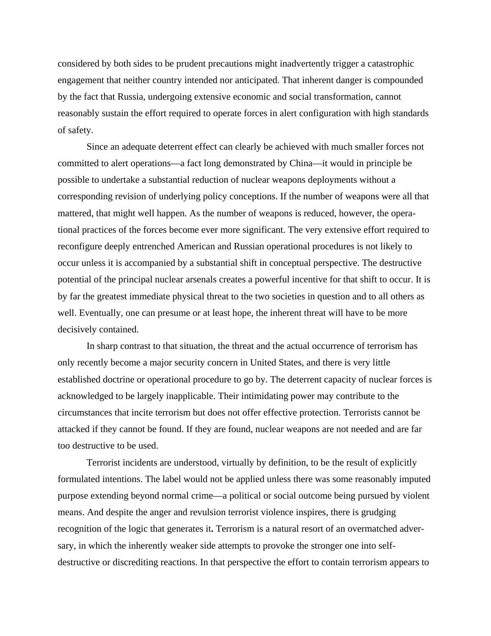considered by both sides to be prudent precautions might inadvertently trigger a catastrophic engagement that neither country intended nor anticipated. That inherent danger is compounded by the fact that Russia, undergoing extensive economic and social transformation, cannot reasonably sustain the effort required to operate forces in alert configuration with high standards of safety.

 Since an adequate deterrent effect can clearly be achieved with much smaller forces not committed to alert operations—a fact long demonstrated by China—it would in principle be possible to undertake a substantial reduction of nuclear weapons deployments without a corresponding revision of underlying policy conceptions. If the number of weapons were all that mattered, that might well happen. As the number of weapons is reduced, however, the operational practices of the forces become ever more significant. The very extensive effort required to reconfigure deeply entrenched American and Russian operational procedures is not likely to occur unless it is accompanied by a substantial shift in conceptual perspective. The destructive potential of the principal nuclear arsenals creates a powerful incentive for that shift to occur. It is by far the greatest immediate physical threat to the two societies in question and to all others as well. Eventually, one can presume or at least hope, the inherent threat will have to be more decisively contained.

 In sharp contrast to that situation, the threat and the actual occurrence of terrorism has only recently become a major security concern in United States, and there is very little established doctrine or operational procedure to go by. The deterrent capacity of nuclear forces is acknowledged to be largely inapplicable. Their intimidating power may contribute to the circumstances that incite terrorism but does not offer effective protection. Terrorists cannot be attacked if they cannot be found. If they are found, nuclear weapons are not needed and are far too destructive to be used.

 Terrorist incidents are understood, virtually by definition, to be the result of explicitly formulated intentions. The label would not be applied unless there was some reasonably imputed purpose extending beyond normal crime—a political or social outcome being pursued by violent means. And despite the anger and revulsion terrorist violence inspires, there is grudging recognition of the logic that generates it**.** Terrorism is a natural resort of an overmatched adversary, in which the inherently weaker side attempts to provoke the stronger one into selfdestructive or discrediting reactions. In that perspective the effort to contain terrorism appears to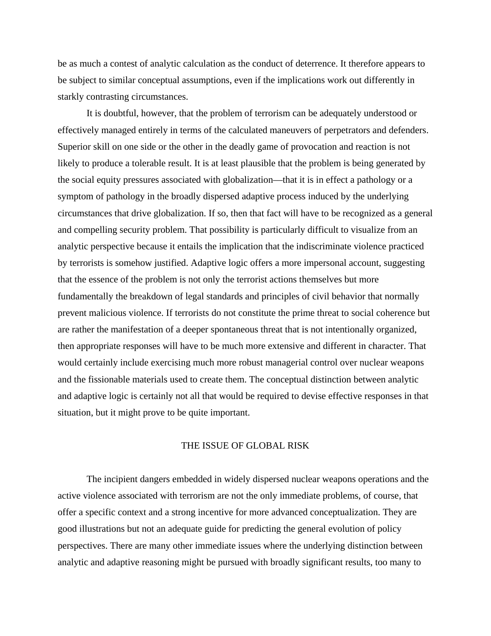be as much a contest of analytic calculation as the conduct of deterrence. It therefore appears to be subject to similar conceptual assumptions, even if the implications work out differently in starkly contrasting circumstances.

 It is doubtful, however, that the problem of terrorism can be adequately understood or effectively managed entirely in terms of the calculated maneuvers of perpetrators and defenders. Superior skill on one side or the other in the deadly game of provocation and reaction is not likely to produce a tolerable result. It is at least plausible that the problem is being generated by the social equity pressures associated with globalization—that it is in effect a pathology or a symptom of pathology in the broadly dispersed adaptive process induced by the underlying circumstances that drive globalization. If so, then that fact will have to be recognized as a general and compelling security problem. That possibility is particularly difficult to visualize from an analytic perspective because it entails the implication that the indiscriminate violence practiced by terrorists is somehow justified. Adaptive logic offers a more impersonal account, suggesting that the essence of the problem is not only the terrorist actions themselves but more fundamentally the breakdown of legal standards and principles of civil behavior that normally prevent malicious violence. If terrorists do not constitute the prime threat to social coherence but are rather the manifestation of a deeper spontaneous threat that is not intentionally organized, then appropriate responses will have to be much more extensive and different in character. That would certainly include exercising much more robust managerial control over nuclear weapons and the fissionable materials used to create them. The conceptual distinction between analytic and adaptive logic is certainly not all that would be required to devise effective responses in that situation, but it might prove to be quite important.

### THE ISSUE OF GLOBAL RISK

 The incipient dangers embedded in widely dispersed nuclear weapons operations and the active violence associated with terrorism are not the only immediate problems, of course, that offer a specific context and a strong incentive for more advanced conceptualization. They are good illustrations but not an adequate guide for predicting the general evolution of policy perspectives. There are many other immediate issues where the underlying distinction between analytic and adaptive reasoning might be pursued with broadly significant results, too many to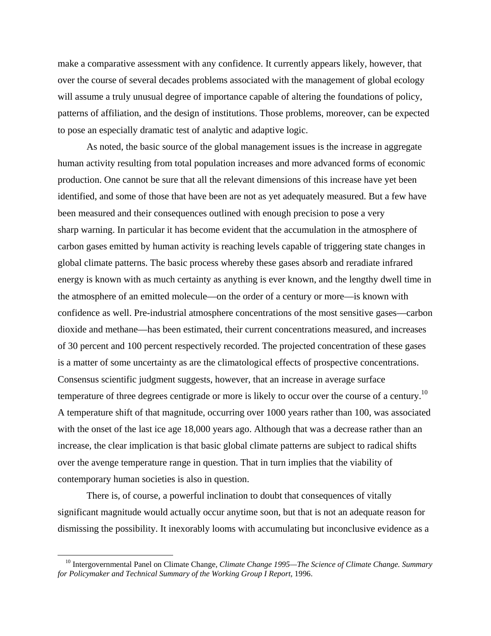make a comparative assessment with any confidence. It currently appears likely, however, that over the course of several decades problems associated with the management of global ecology will assume a truly unusual degree of importance capable of altering the foundations of policy, patterns of affiliation, and the design of institutions. Those problems, moreover, can be expected to pose an especially dramatic test of analytic and adaptive logic.

 As noted, the basic source of the global management issues is the increase in aggregate human activity resulting from total population increases and more advanced forms of economic production. One cannot be sure that all the relevant dimensions of this increase have yet been identified, and some of those that have been are not as yet adequately measured. But a few have been measured and their consequences outlined with enough precision to pose a very sharp warning. In particular it has become evident that the accumulation in the atmosphere of carbon gases emitted by human activity is reaching levels capable of triggering state changes in global climate patterns. The basic process whereby these gases absorb and reradiate infrared energy is known with as much certainty as anything is ever known, and the lengthy dwell time in the atmosphere of an emitted molecule—on the order of a century or more—is known with confidence as well. Pre-industrial atmosphere concentrations of the most sensitive gases—carbon dioxide and methane—has been estimated, their current concentrations measured, and increases of 30 percent and 100 percent respectively recorded. The projected concentration of these gases is a matter of some uncertainty as are the climatological effects of prospective concentrations. Consensus scientific judgment suggests, however, that an increase in average surface temperature of three degrees centigrade or more is likely to occur over the course of a century.<sup>[10](#page-8-0)</sup> A temperature shift of that magnitude, occurring over 1000 years rather than 100, was associated with the onset of the last ice age 18,000 years ago. Although that was a decrease rather than an increase, the clear implication is that basic global climate patterns are subject to radical shifts over the avenge temperature range in question. That in turn implies that the viability of contemporary human societies is also in question.

 There is, of course, a powerful inclination to doubt that consequences of vitally significant magnitude would actually occur anytime soon, but that is not an adequate reason for dismissing the possibility. It inexorably looms with accumulating but inconclusive evidence as a

<span id="page-8-0"></span><sup>&</sup>lt;sup>10</sup> Intergovernmental Panel on Climate Change, *Climate Change 1995—The Science of Climate Change. Summary for Policymaker and Technical Summary of the Working Group I Report*, 1996.